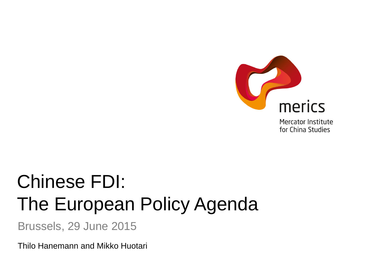

**Mercator Institute** for China Studies

# Chinese FDI: The European Policy Agenda

Brussels, 29 June 2015

Thilo Hanemann and Mikko Huotari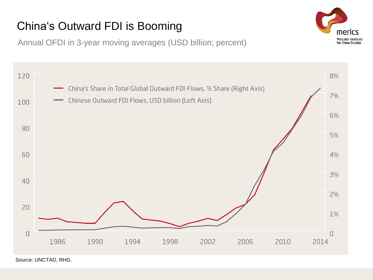# China's Outward FDI is Booming

Annual OFDI in 3-year moving averages (USD billion; percent)



Source: UNCTAD, RHG.

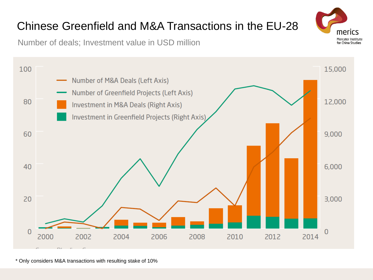#### Number of Greenfield Projects (Left Axis)

Number of M&A Deals (Left Axis)



Number of deals; Investment value in USD million

100

\* Only considers M&A transactions with resulting stake of 10%

# Chinese Greenfield and M&A Transactions in the EU-28



15,000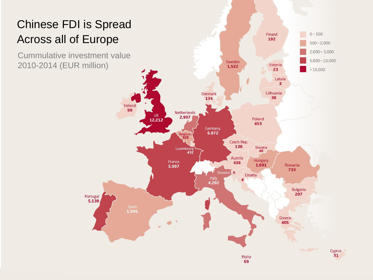# Chinese FDI is Spread Across all of Europe

Cummulative investment value 2010-2014 (EUR million)

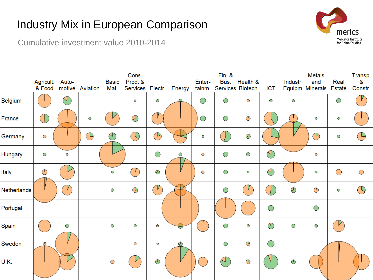# Industry Mix in European Comparison



Cumulative investment value 2010-2014

|             | Agricult.    | Auto-          |                 | <b>Basic</b> | Cons.<br>Prod. & |                  |           | Enter-     | <b>Fin. &amp;</b><br>Bus. | Health &     |                | Industr. | <b>Metals</b><br>and | Real          | Transp.<br>&  |
|-------------|--------------|----------------|-----------------|--------------|------------------|------------------|-----------|------------|---------------------------|--------------|----------------|----------|----------------------|---------------|---------------|
|             | & Food       |                | motive Aviation | Mat.         | Services Electr. |                  | Energy    | tainm.     | Services Biotech          |              | <b>ICT</b>     |          | Equipm. Minerals     | <b>Estate</b> | Constr.       |
| Belgium     |              | $\mathbb{P}^1$ |                 |              | Ō                | O                | ◠         | ◯          | O                         | O            | O              | $\circ$  |                      | $\bigcirc$    |               |
| France      |              |                | O               |              | $\oslash$        |                  |           | $\bigcirc$ | $\bigcirc$                |              |                |          | O                    | $\circ$       |               |
| Germany     | O            |                | $\bigoplus$     | $\bigcirc$   |                  | $\bigcirc$       |           | O          |                           | D            |                |          | $^\circledR$         | O             | $\rightarrow$ |
| Hungary     | О            | Ō              |                 |              |                  | $\bigcirc$       | O         | O          | $\bigcirc$                | $\bigcirc$   | $(\bigwedge)$  |          | $\circ$              |               |               |
| Italy       | $\mathbb{O}$ |                |                 | $\circ$      | $\gamma$         | D                |           | O          | $\bigcirc$                | O            | $\bigcirc$     |          | $\Phi$               | $\bigcirc$    | $\bigcirc$    |
| Netherlands |              | $\mathcal V$   |                 | O            | $\circledcirc$   | $\mathcal{T}$    |           |            | $\bigcirc$                | $\mathbf{V}$ |                | D        | $\mathbb O$          | O             | $\mathbb{Q}$  |
| Portugal    |              |                |                 |              |                  |                  |           |            |                           |              | $\bigcirc$     |          | $\bigcirc$           |               |               |
| Spain       |              | О              |                 | O            | O                | $\mathbf \Theta$ |           |            | O                         | O            | $\circledcirc$ | О        | G                    | V             |               |
| Sweden      |              |                |                 |              | O                | O                | $\oslash$ |            | O                         | $\Theta$     | $\bigcirc$     |          |                      |               |               |
| U.K.        |              |                |                 | $\bigcirc$   |                  | ⊕                |           |            | $\triangle$               | $\odot$      |                | ৩        |                      |               |               |
|             |              |                |                 |              |                  |                  |           |            |                           |              |                |          |                      |               |               |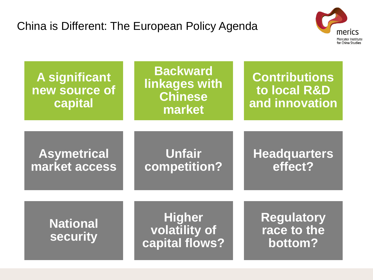

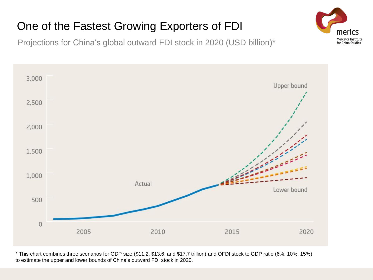# One of the Fastest Growing Exporters of FDI

Projections for China's global outward FDI stock in 2020 (USD billion)\*



\* This chart combines three scenarios for GDP size (\$11.2, \$13.6, and \$17.7 trillion) and OFDI stock to GDP ratio (6%, 10%, 15%) to estimate the upper and lower bounds of China's outward FDI stock in 2020.

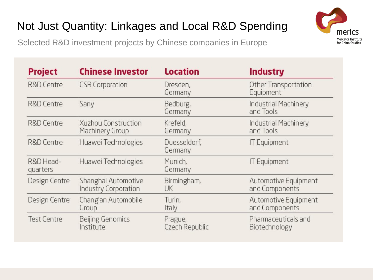# Not Just Quantity: Linkages and Local R&D Spending

Selected R&D investment projects by Chinese companies in Europe



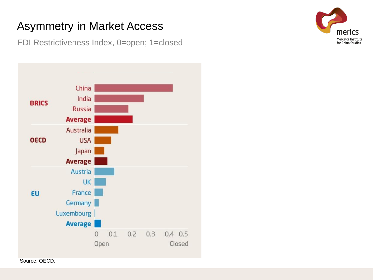### Asymmetry in Market Access

FDI Restrictiveness Index, 0=open; 1=closed



merics Mercator Institute for China Studies

Source: OECD.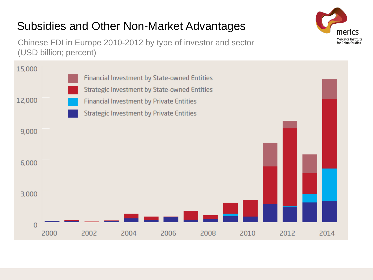# Subsidies and Other Non-Market Advantages

Chinese FDI in Europe 2010-2012 by type of investor and sector (USD billion; percent)



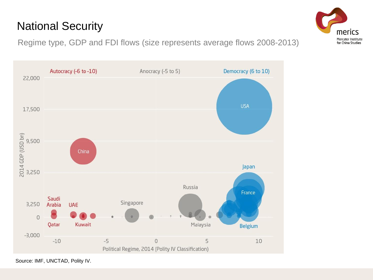#### Regime type, GDP and FDI flows (size represents average flows 2008-2013)



National Security



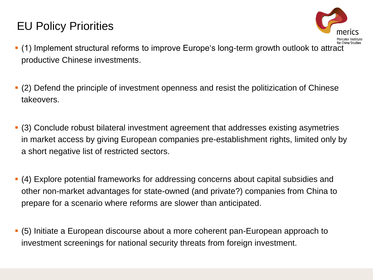### EU Policy Priorities



- (1) Implement structural reforms to improve Europe's long-term growth outlook to attract productive Chinese investments.
- (2) Defend the principle of investment openness and resist the politizication of Chinese takeovers.
- (3) Conclude robust bilateral investment agreement that addresses existing asymetries in market access by giving European companies pre-establishment rights, limited only by a short negative list of restricted sectors.
- (4) Explore potential frameworks for addressing concerns about capital subsidies and other non-market advantages for state-owned (and private?) companies from China to prepare for a scenario where reforms are slower than anticipated.
- (5) Initiate a European discourse about a more coherent pan-European approach to investment screenings for national security threats from foreign investment.